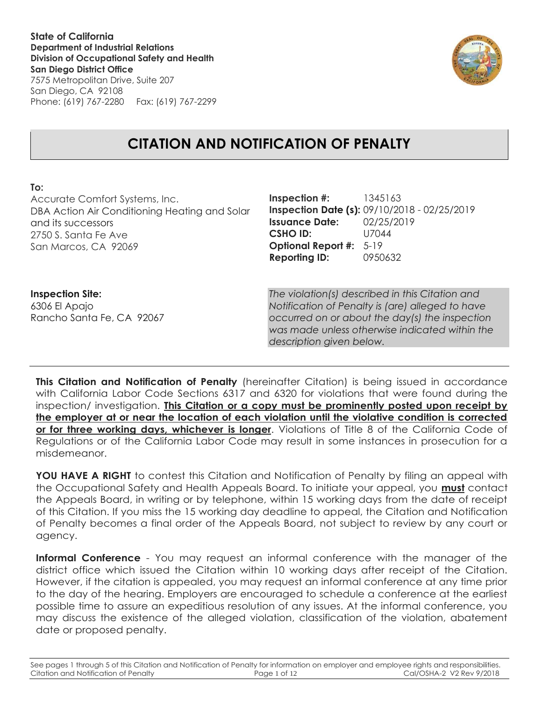**State of California Department of Industrial Relations Division of Occupational Safety and Health San Diego District Office**

7575 Metropolitan Drive, Suite 207 San Diego, CA 92108 Phone: (619) 767-2280 Fax: (619) 767-2299



# **CITATION AND NOTIFICATION OF PENALTY**

#### **To:**

Accurate Comfort Systems, Inc. DBA Action Air Conditioning Heating and Solar and its successors 2750 S. Santa Fe Ave San Marcos, CA 92069

**Inspection #:** 1345163 **Inspection Date (s):** 09/10/2018 - 02/25/2019 **Issuance Date:** 02/25/2019 **CSHO ID:** U7044 **Optional Report #:** 5-19 **Reporting ID:** 0950632

**Inspection Site:** 6306 El Apajo Rancho Santa Fe, CA 92067 *The violation(s) described in this Citation and Notification of Penalty is (are) alleged to have occurred on or about the day(s) the inspection was made unless otherwise indicated within the description given below.*

**This Citation and Notification of Penalty** (hereinafter Citation) is being issued in accordance with California Labor Code Sections 6317 and 6320 for violations that were found during the inspection/ investigation. **This Citation or a copy must be prominently posted upon receipt by the employer at or near the location of each violation until the violative condition is corrected or for three working days, whichever is longer**. Violations of Title 8 of the California Code of Regulations or of the California Labor Code may result in some instances in prosecution for a misdemeanor.

**YOU HAVE A RIGHT** to contest this Citation and Notification of Penalty by filing an appeal with the Occupational Safety and Health Appeals Board. To initiate your appeal, you **must** contact the Appeals Board, in writing or by telephone, within 15 working days from the date of receipt of this Citation. If you miss the 15 working day deadline to appeal, the Citation and Notification of Penalty becomes a final order of the Appeals Board, not subject to review by any court or agency.

**Informal Conference** - You may request an informal conference with the manager of the district office which issued the Citation within 10 working days after receipt of the Citation. However, if the citation is appealed, you may request an informal conference at any time prior to the day of the hearing. Employers are encouraged to schedule a conference at the earliest possible time to assure an expeditious resolution of any issues. At the informal conference, you may discuss the existence of the alleged violation, classification of the violation, abatement date or proposed penalty.

See pages 1 through 5 of this Citation and Notification of Penalty for information on employer and employee rights and responsibilities. Citation and Notification of Penalty Page 1 of 12 Cal/OSHA-2 V2 Rev 9/2018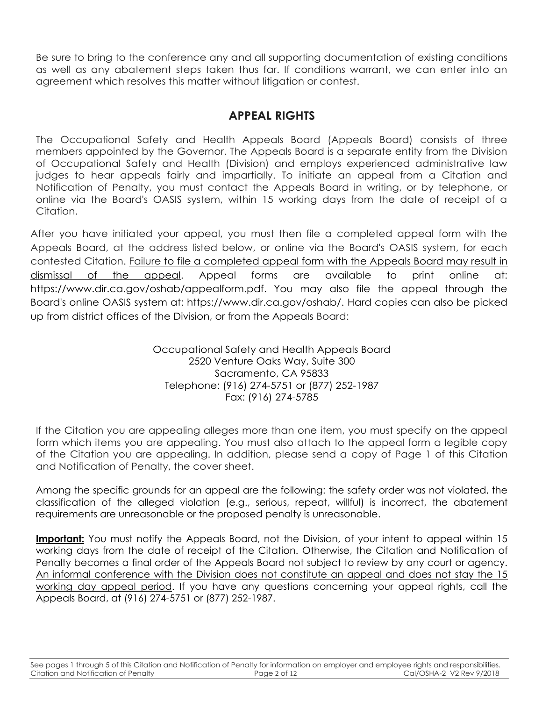Be sure to bring to the conference any and all supporting documentation of existing conditions as well as any abatement steps taken thus far. If conditions warrant, we can enter into an agreement which resolves this matter without litigation or contest.

# **APPEAL RIGHTS**

The Occupational Safety and Health Appeals Board (Appeals Board) consists of three members appointed by the Governor. The Appeals Board is a separate entity from the Division of Occupational Safety and Health (Division) and employs experienced administrative law judges to hear appeals fairly and impartially. To initiate an appeal from a Citation and Notification of Penalty, you must contact the Appeals Board in writing, or by telephone, or online via the Board's OASIS system, within 15 working days from the date of receipt of a Citation.

After you have initiated your appeal, you must then file a completed appeal form with the Appeals Board, at the address listed below, or online via the Board's OASIS system, for each contested Citation. Failure to file a completed appeal form with the Appeals Board may result in dismissal of the appeal. Appeal forms are available to print online at: https://www.dir.ca.gov/oshab/appealform.pdf. You may also file the appeal through the Board's online OASIS system at: https://www.dir.ca.gov/oshab/. Hard copies can also be picked up from district offices of the Division, or from the Appeals Board:

> Occupational Safety and Health Appeals Board 2520 Venture Oaks Way, Suite 300 Sacramento, CA 95833 Telephone: (916) 274-5751 or (877) 252-1987 Fax: (916) 274-5785

If the Citation you are appealing alleges more than one item, you must specify on the appeal form which items you are appealing. You must also attach to the appeal form a legible copy of the Citation you are appealing. In addition, please send a copy of Page 1 of this Citation and Notification of Penalty, the cover sheet.

Among the specific grounds for an appeal are the following: the safety order was not violated, the classification of the alleged violation (e.g., serious, repeat, willful) is incorrect, the abatement requirements are unreasonable or the proposed penalty is unreasonable.

**Important:** You must notify the Appeals Board, not the Division, of your intent to appeal within 15 working days from the date of receipt of the Citation. Otherwise, the Citation and Notification of Penalty becomes a final order of the Appeals Board not subject to review by any court or agency. An informal conference with the Division does not constitute an appeal and does not stay the 15 working day appeal period. If you have any questions concerning your appeal rights, call the Appeals Board, at (916) 274-5751 or (877) 252-1987.

See pages 1 through 5 of this Citation and Notification of Penalty for information on employer and employee rights and responsibilities.<br>Citation and Notification of Penalty Page 2 of 12 Cal/OSHA-2 V2 Rev 9/2018 Citation and Notification of Penalty Page 2 of 12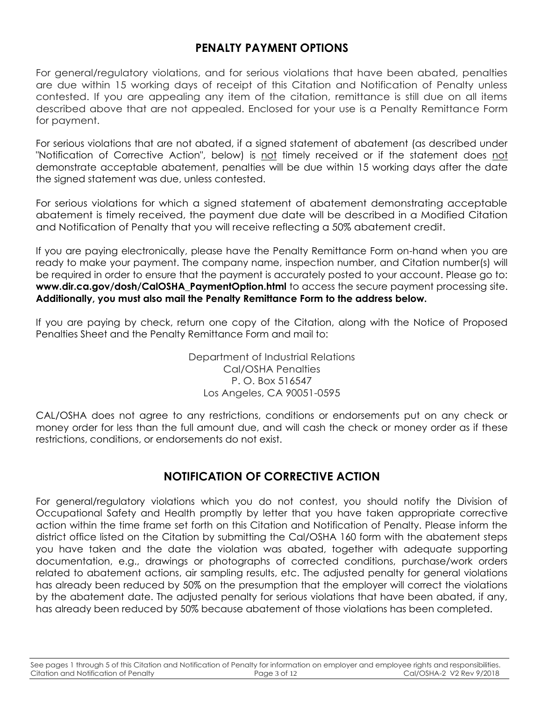# **PENALTY PAYMENT OPTIONS**

For general/regulatory violations, and for serious violations that have been abated, penalties are due within 15 working days of receipt of this Citation and Notification of Penalty unless contested. If you are appealing any item of the citation, remittance is still due on all items described above that are not appealed. Enclosed for your use is a Penalty Remittance Form for payment.

For serious violations that are not abated, if a signed statement of abatement (as described under "Notification of Corrective Action", below) is not timely received or if the statement does not demonstrate acceptable abatement, penalties will be due within 15 working days after the date the signed statement was due, unless contested.

For serious violations for which a signed statement of abatement demonstrating acceptable abatement is timely received, the payment due date will be described in a Modified Citation and Notification of Penalty that you will receive reflecting a 50% abatement credit.

If you are paying electronically, please have the Penalty Remittance Form on-hand when you are ready to make your payment. The company name, inspection number, and Citation number(s) will be required in order to ensure that the payment is accurately posted to your account. Please go to: **www.dir.ca.gov/dosh/CalOSHA\_PaymentOption.html** to access the secure payment processing site. **Additionally, you must also mail the Penalty Remittance Form to the address below.**

If you are paying by check, return one copy of the Citation, along with the Notice of Proposed Penalties Sheet and the Penalty Remittance Form and mail to:

> Department of Industrial Relations Cal/OSHA Penalties P. O. Box 516547 Los Angeles, CA 90051-0595

CAL/OSHA does not agree to any restrictions, conditions or endorsements put on any check or money order for less than the full amount due, and will cash the check or money order as if these restrictions, conditions, or endorsements do not exist.

# **NOTIFICATION OF CORRECTIVE ACTION**

For general/regulatory violations which you do not contest, you should notify the Division of Occupational Safety and Health promptly by letter that you have taken appropriate corrective action within the time frame set forth on this Citation and Notification of Penalty. Please inform the district office listed on the Citation by submitting the Cal/OSHA 160 form with the abatement steps you have taken and the date the violation was abated, together with adequate supporting documentation, e.g., drawings or photographs of corrected conditions, purchase/work orders related to abatement actions, air sampling results, etc. The adjusted penalty for general violations has already been reduced by 50% on the presumption that the employer will correct the violations by the abatement date. The adjusted penalty for serious violations that have been abated, if any, has already been reduced by 50% because abatement of those violations has been completed.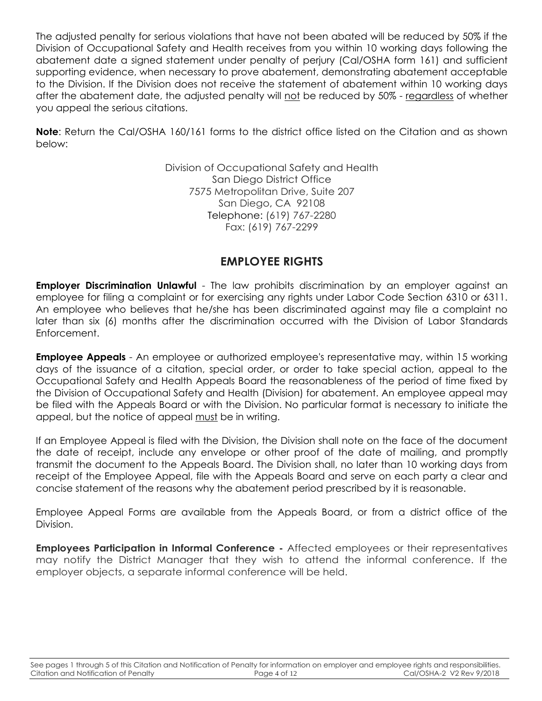The adjusted penalty for serious violations that have not been abated will be reduced by 50% if the Division of Occupational Safety and Health receives from you within 10 working days following the abatement date a signed statement under penalty of perjury (Cal/OSHA form 161) and sufficient supporting evidence, when necessary to prove abatement, demonstrating abatement acceptable to the Division. If the Division does not receive the statement of abatement within 10 working days after the abatement date, the adjusted penalty will not be reduced by 50% - regardless of whether you appeal the serious citations.

**Note**: Return the Cal/OSHA 160/161 forms to the district office listed on the Citation and as shown below:

> Division of Occupational Safety and Health San Diego District Office 7575 Metropolitan Drive, Suite 207 San Diego, CA 92108 Telephone: (619) 767-2280 Fax: (619) 767-2299

# **EMPLOYEE RIGHTS**

**Employer Discrimination Unlawful** - The law prohibits discrimination by an employer against an employee for filing a complaint or for exercising any rights under Labor Code Section 6310 or 6311. An employee who believes that he/she has been discriminated against may file a complaint no later than six (6) months after the discrimination occurred with the Division of Labor Standards Enforcement.

**Employee Appeals** - An employee or authorized employee's representative may, within 15 working days of the issuance of a citation, special order, or order to take special action, appeal to the Occupational Safety and Health Appeals Board the reasonableness of the period of time fixed by the Division of Occupational Safety and Health (Division) for abatement. An employee appeal may be filed with the Appeals Board or with the Division. No particular format is necessary to initiate the appeal, but the notice of appeal must be in writing.

If an Employee Appeal is filed with the Division, the Division shall note on the face of the document the date of receipt, include any envelope or other proof of the date of mailing, and promptly transmit the document to the Appeals Board. The Division shall, no later than 10 working days from receipt of the Employee Appeal, file with the Appeals Board and serve on each party a clear and concise statement of the reasons why the abatement period prescribed by it is reasonable.

Employee Appeal Forms are available from the Appeals Board, or from a district office of the Division.

**Employees Participation in Informal Conference -** Affected employees or their representatives may notify the District Manager that they wish to attend the informal conference. If the employer objects, a separate informal conference will be held.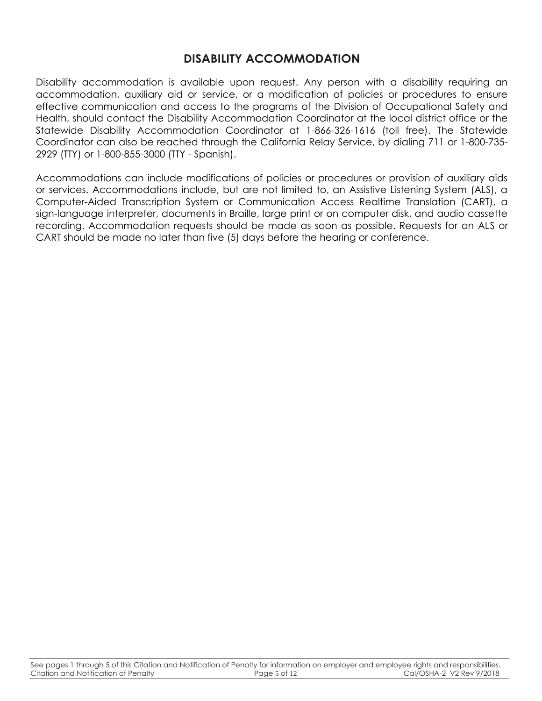# **DISABILITY ACCOMMODATION**

Disability accommodation is available upon request. Any person with a disability requiring an accommodation, auxiliary aid or service, or a modification of policies or procedures to ensure effective communication and access to the programs of the Division of Occupational Safety and Health, should contact the Disability Accommodation Coordinator at the local district office or the Statewide Disability Accommodation Coordinator at 1-866-326-1616 (toll free). The Statewide Coordinator can also be reached through the California Relay Service, by dialing 711 or 1-800-735- 2929 (TTY) or 1-800-855-3000 (TTY - Spanish).

Accommodations can include modifications of policies or procedures or provision of auxiliary aids or services. Accommodations include, but are not limited to, an Assistive Listening System (ALS), a Computer-Aided Transcription System or Communication Access Realtime Translation (CART), a sign-language interpreter, documents in Braille, large print or on computer disk, and audio cassette recording. Accommodation requests should be made as soon as possible. Requests for an ALS or CART should be made no later than five (5) days before the hearing or conference.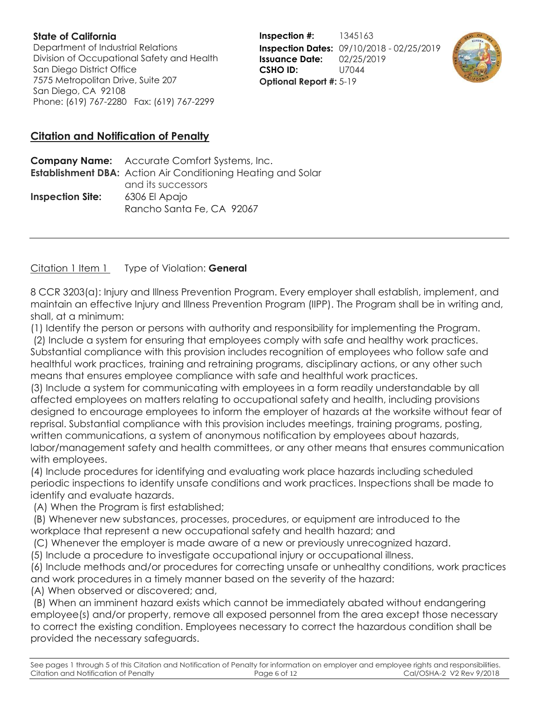## **State of California**

Department of Industrial Relations Division of Occupational Safety and Health San Diego District Office 7575 Metropolitan Drive, Suite 207 San Diego, CA 92108 Phone: (619) 767-2280 Fax: (619) 767-2299

**Inspection #:** 1345163 **Inspection Dates:** 09/10/2018 - 02/25/2019 **Issuance Date:** 02/25/2019 **CSHO ID:** U7044 **Optional Report #:** 5-19



## **Citation and Notification of Penalty**

**Company Name:** Accurate Comfort Systems, Inc. **Establishment DBA:** Action Air Conditioning Heating and Solar and its successors **Inspection Site:** 6306 El Apajo Rancho Santa Fe, CA 92067

Citation 1 Item 1 Type of Violation: **General** 

8 CCR 3203(a): Injury and Illness Prevention Program. Every employer shall establish, implement, and maintain an effective Injury and Illness Prevention Program (IIPP). The Program shall be in writing and, shall, at a minimum:

(1) Identify the person or persons with authority and responsibility for implementing the Program.

(2) Include a system for ensuring that employees comply with safe and healthy work practices. Substantial compliance with this provision includes recognition of employees who follow safe and healthful work practices, training and retraining programs, disciplinary actions, or any other such means that ensures employee compliance with safe and healthful work practices.

(3) Include a system for communicating with employees in a form readily understandable by all affected employees on matters relating to occupational safety and health, including provisions designed to encourage employees to inform the employer of hazards at the worksite without fear of reprisal. Substantial compliance with this provision includes meetings, training programs, posting, written communications, a system of anonymous notification by employees about hazards, labor/management safety and health committees, or any other means that ensures communication with employees.

(4) Include procedures for identifying and evaluating work place hazards including scheduled periodic inspections to identify unsafe conditions and work practices. Inspections shall be made to identify and evaluate hazards.

(A) When the Program is first established;

(B) Whenever new substances, processes, procedures, or equipment are introduced to the workplace that represent a new occupational safety and health hazard; and

(C) Whenever the employer is made aware of a new or previously unrecognized hazard.

(5) Include a procedure to investigate occupational injury or occupational illness.

(6) Include methods and/or procedures for correcting unsafe or unhealthy conditions, work practices and work procedures in a timely manner based on the severity of the hazard:

(A) When observed or discovered; and,

(B) When an imminent hazard exists which cannot be immediately abated without endangering employee(s) and/or property, remove all exposed personnel from the area except those necessary to correct the existing condition. Employees necessary to correct the hazardous condition shall be provided the necessary safeguards.

See pages 1 through 5 of this Citation and Notification of Penalty for information on employer and employee rights and responsibilities. Citation and Notification of Penalty Page 6 of 12 Cal/OSHA-2 V2 Rev 9/2018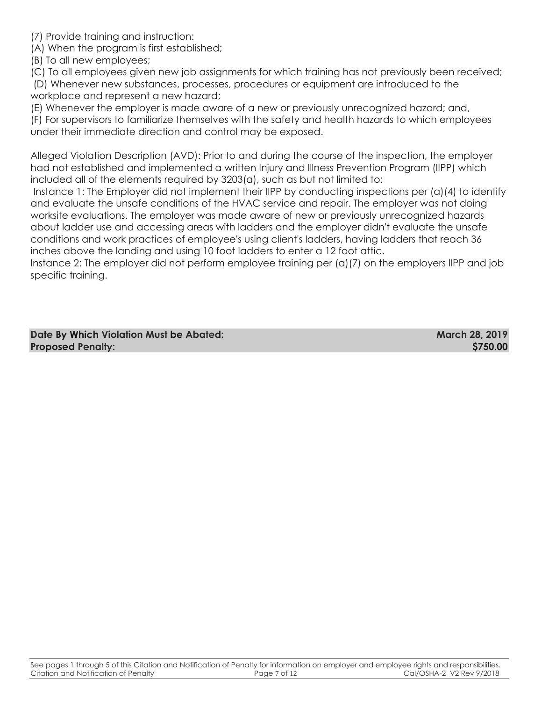- (7) Provide training and instruction:
- (A) When the program is first established;
- (B) To all new employees;
- (C) To all employees given new job assignments for which training has not previously been received;

(D) Whenever new substances, processes, procedures or equipment are introduced to the workplace and represent a new hazard;

(E) Whenever the employer is made aware of a new or previously unrecognized hazard; and,

(F) For supervisors to familiarize themselves with the safety and health hazards to which employees under their immediate direction and control may be exposed.

Alleged Violation Description (AVD): Prior to and during the course of the inspection, the employer had not established and implemented a written Injury and Illness Prevention Program (IIPP) which included all of the elements required by 3203(a), such as but not limited to:

Instance 1: The Employer did not implement their IIPP by conducting inspections per (a)(4) to identify and evaluate the unsafe conditions of the HVAC service and repair. The employer was not doing worksite evaluations. The employer was made aware of new or previously unrecognized hazards about ladder use and accessing areas with ladders and the employer didn't evaluate the unsafe conditions and work practices of employee's using client's ladders, having ladders that reach 36 inches above the landing and using 10 foot ladders to enter a 12 foot attic.

Instance 2: The employer did not perform employee training per (a)(7) on the employers IIPP and job specific training.

| Date By Which Violation Must be Abated: | <b>March 28, 2019</b> |
|-----------------------------------------|-----------------------|
| <b>Proposed Penalty:</b>                | <b>\$750.00</b>       |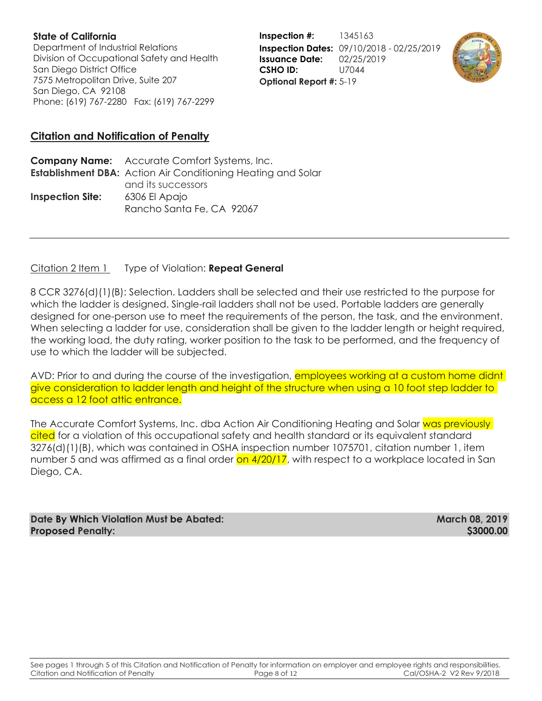#### **State of California**

Department of Industrial Relations Division of Occupational Safety and Health San Diego District Office 7575 Metropolitan Drive, Suite 207 San Diego, CA 92108 Phone: (619) 767-2280 Fax: (619) 767-2299

**Inspection #:** 1345163 **Inspection Dates:** 09/10/2018 - 02/25/2019 **Issuance Date:** 02/25/2019 **CSHO ID:** U7044 **Optional Report #:** 5-19



## **Citation and Notification of Penalty**

**Company Name:** Accurate Comfort Systems, Inc. **Establishment DBA:** Action Air Conditioning Heating and Solar and its successors **Inspection Site:** 6306 El Apajo Rancho Santa Fe, CA 92067

### Citation 2 Item 1 Type of Violation: **Repeat General**

8 CCR 3276(d)(1)(B): Selection. Ladders shall be selected and their use restricted to the purpose for which the ladder is designed. Single-rail ladders shall not be used. Portable ladders are generally designed for one-person use to meet the requirements of the person, the task, and the environment. When selecting a ladder for use, consideration shall be given to the ladder length or height required, the working load, the duty rating, worker position to the task to be performed, and the frequency of use to which the ladder will be subjected.

AVD: Prior to and during the course of the investigation, employees working at a custom home didnt give consideration to ladder length and height of the structure when using a 10 foot step ladder to access a 12 foot attic entrance.

The Accurate Comfort Systems, Inc. dba Action Air Conditioning Heating and Solar was previously cited for a violation of this occupational safety and health standard or its equivalent standard 3276(d)(1)(B), which was contained in OSHA inspection number 1075701, citation number 1, item number 5 and was affirmed as a final order on 4/20/17, with respect to a workplace located in San Diego, CA.

**Date By Which Violation Must be Abated: March 08, 2019 Proposed Penalty: \$3000.00**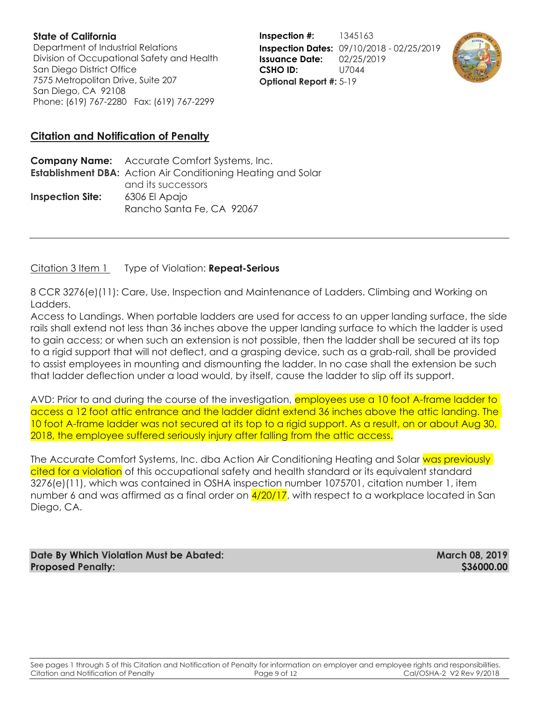#### **State of California**

Department of Industrial Relations Division of Occupational Safety and Health San Diego District Office 7575 Metropolitan Drive, Suite 207 San Diego, CA 92108 Phone: (619) 767-2280 Fax: (619) 767-2299

**Inspection #:** 1345163 **Inspection Dates:** 09/10/2018 - 02/25/2019 **Issuance Date:** 02/25/2019 **CSHO ID:** U7044 **Optional Report #:** 5-19



## **Citation and Notification of Penalty**

**Company Name:** Accurate Comfort Systems, Inc. **Establishment DBA:** Action Air Conditioning Heating and Solar and its successors **Inspection Site:** 6306 El Apajo Rancho Santa Fe, CA 92067

### Citation 3 Item 1 Type of Violation: **Repeat-Serious**

8 CCR 3276(e)(11): Care, Use, Inspection and Maintenance of Ladders. Climbing and Working on Ladders.

Access to Landings. When portable ladders are used for access to an upper landing surface, the side rails shall extend not less than 36 inches above the upper landing surface to which the ladder is used to gain access; or when such an extension is not possible, then the ladder shall be secured at its top to a rigid support that will not deflect, and a grasping device, such as a grab-rail, shall be provided to assist employees in mounting and dismounting the ladder. In no case shall the extension be such that ladder deflection under a load would, by itself, cause the ladder to slip off its support.

AVD: Prior to and during the course of the investigation, **employees use a 10 foot A-frame ladder to** access a 12 foot attic entrance and the ladder didnt extend 36 inches above the attic landing. The 10 foot A-frame ladder was not secured at its top to a rigid support. As a result, on or about Aug 30, 2018, the employee suffered seriously injury after falling from the attic access.

The Accurate Comfort Systems, Inc. dba Action Air Conditioning Heating and Solar was previously cited for a violation of this occupational safety and health standard or its equivalent standard 3276(e)(11), which was contained in OSHA inspection number 1075701, citation number 1, item number 6 and was affirmed as a final order on  $4/20/17$ , with respect to a workplace located in San Diego, CA.

**Date By Which Violation Must be Abated: March 08, 2019 March 08, 2019 Proposed Penalty: \$36000.00**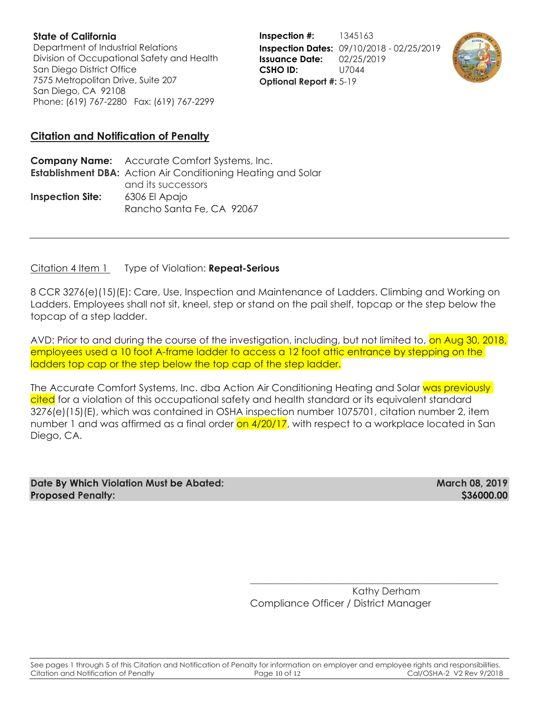#### **State of California**  Department of Industrial Relations Division of Occupational Safety and Health San Diego District Office 7575 Metropolitan Drive, Suite 207 San Diego, CA 92108 Phone: (619) 767-2280 Fax: (619) 767-2299

**Inspection #:** 1345163 **Inspection Dates:** 09/10/2018 - 02/25/2019 **Issuance Date:** 02/25/2019 **CSHO ID:** U7044 **Optional Report #:** 5-19



## **Citation and Notification of Penalty**

**Company Name:** Accurate Comfort Systems, Inc. **Establishment DBA:** Action Air Conditioning Heating and Solar and its successors **Inspection Site:** 6306 El Apajo Rancho Santa Fe, CA 92067

### Citation 4 Item 1 Type of Violation: **Repeat-Serious**

8 CCR 3276(e)(15)(E): Care, Use, Inspection and Maintenance of Ladders. Climbing and Working on Ladders. Employees shall not sit, kneel, step or stand on the pail shelf, topcap or the step below the topcap of a step ladder.

AVD: Prior to and during the course of the investigation, including, but not limited to, on Aug 30, 2018, employees used a 10 foot A-frame ladder to access a 12 foot attic entrance by stepping on the ladders top cap or the step below the top cap of the step ladder.

The Accurate Comfort Systems, Inc. dba Action Air Conditioning Heating and Solar was previously cited for a violation of this occupational safety and health standard or its equivalent standard 3276(e)(15)(E), which was contained in OSHA inspection number 1075701, citation number 2, item number 1 and was affirmed as a final order on 4/20/17, with respect to a workplace located in San Diego, CA.

**Date By Which Violation Must be Abated: March 08, 2019 Proposed Penalty: \$36000.00**

 Kathy Derham Compliance Officer / District Manager

\_\_\_\_\_\_\_\_\_\_\_\_\_\_\_\_\_\_\_\_\_\_\_\_\_\_\_\_\_\_\_\_\_\_\_\_\_\_\_\_\_\_\_\_\_\_\_\_\_\_\_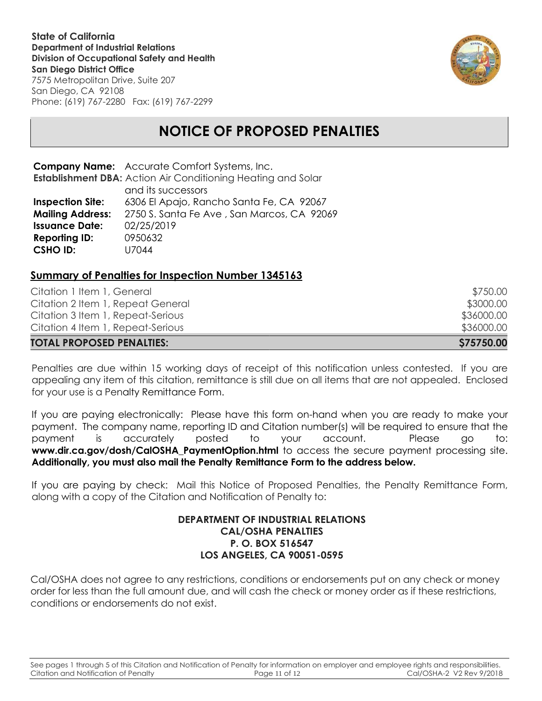**State of California Department of Industrial Relations Division of Occupational Safety and Health San Diego District Office**

7575 Metropolitan Drive, Suite 207 San Diego, CA 92108 Phone: (619) 767-2280 Fax: (619) 767-2299



# **NOTICE OF PROPOSED PENALTIES**

**Company Name:** Accurate Comfort Systems, Inc. **Establishment DBA:** Action Air Conditioning Heating and Solar and its successors **Inspection Site:** 6306 El Apajo, Rancho Santa Fe, CA 92067 **Mailing Address:** 2750 S. Santa Fe Ave , San Marcos, CA 92069 **Issuance Date:** 02/25/2019 **Reporting ID:** 0950632 **CSHO ID:** U7044

## **Summary of Penalties for Inspection Number 1345163**

| <b>TOTAL PROPOSED PENALTIES:</b>  | S75750.00  |
|-----------------------------------|------------|
| Citation 4 Item 1, Repeat-Serious | \$36000.00 |
| Citation 3 Item 1, Repeat-Serious | \$36000.00 |
| Citation 2 Item 1, Repeat General | \$3000.00  |
| Citation 1 Item 1, General        | \$750.00   |

Penalties are due within 15 working days of receipt of this notification unless contested. If you are appealing any item of this citation, remittance is still due on all items that are not appealed. Enclosed for your use is a Penalty Remittance Form.

If you are paying electronically: Please have this form on-hand when you are ready to make your payment. The company name, reporting ID and Citation number(s) will be required to ensure that the payment is accurately posted to your account. Please go to: www.dir.ca.gov/dosh/CalOSHA PaymentOption.html to access the secure payment processing site. **Additionally, you must also mail the Penalty Remittance Form to the address below.**

If you are paying by check: Mail this Notice of Proposed Penalties, the Penalty Remittance Form, along with a copy of the Citation and Notification of Penalty to:

#### **DEPARTMENT OF INDUSTRIAL RELATIONS CAL/OSHA PENALTIES P. O. BOX 516547 LOS ANGELES, CA 90051-0595**

Cal/OSHA does not agree to any restrictions, conditions or endorsements put on any check or money order for less than the full amount due, and will cash the check or money order as if these restrictions, conditions or endorsements do not exist.

See pages 1 through 5 of this Citation and Notification of Penalty for information on employer and employee rights and responsibilities. Citation and Notification of Penalty Page 11 of 12 Cal/OSHA-2 V2 Rev 9/2018